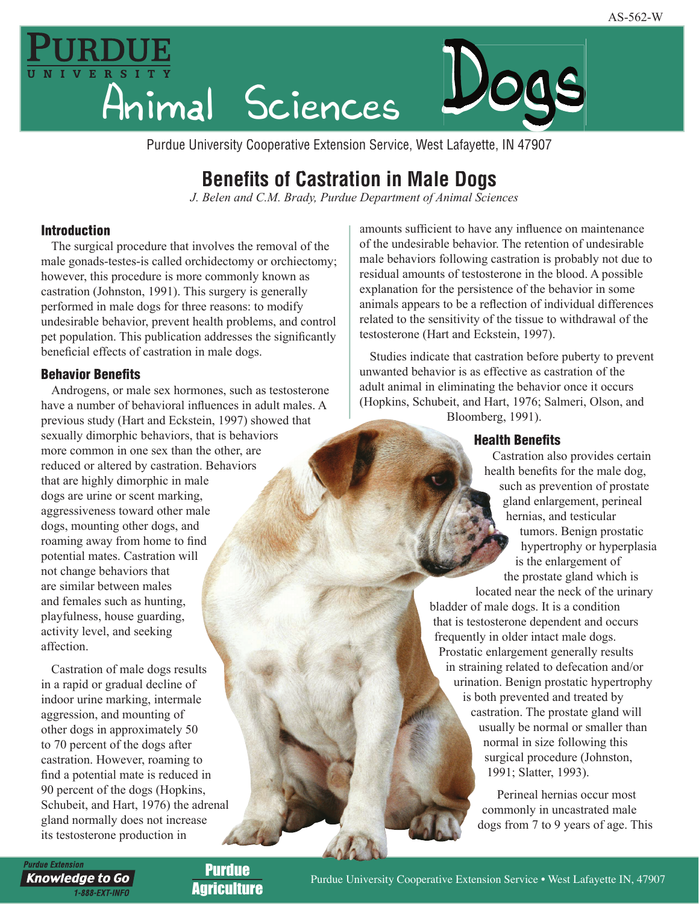

Purdue University Cooperative Extension Service, West Lafayette, IN 47907

# **Benefits of Castration in Male Dogs**

*J. Belen and C.M. Brady, Purdue Department of Animal Sciences*

# **Introduction**

The surgical procedure that involves the removal of the male gonads-testes-is called orchidectomy or orchiectomy; however, this procedure is more commonly known as castration (Johnston, 1991). This surgery is generally performed in male dogs for three reasons: to modify undesirable behavior, prevent health problems, and control pet population. This publication addresses the significantly beneficial effects of castration in male dogs.

# **Behavior Benefits**

Androgens, or male sex hormones, such as testosterone have a number of behavioral influences in adult males. A previous study (Hart and Eckstein, 1997) showed that sexually dimorphic behaviors, that is behaviors more common in one sex than the other, are reduced or altered by castration. Behaviors that are highly dimorphic in male dogs are urine or scent marking, aggressiveness toward other male dogs, mounting other dogs, and roaming away from home to find potential mates. Castration will not change behaviors that are similar between males and females such as hunting, playfulness, house guarding, activity level, and seeking affection.

Castration of male dogs results in a rapid or gradual decline of indoor urine marking, intermale aggression, and mounting of other dogs in approximately 50 to 70 percent of the dogs after castration. However, roaming to find a potential mate is reduced in 90 percent of the dogs (Hopkins, Schubeit, and Hart, 1976) the adrenal gland normally does not increase its testosterone production in

amounts sufficient to have any influence on maintenance of the undesirable behavior. The retention of undesirable male behaviors following castration is probably not due to residual amounts of testosterone in the blood. A possible explanation for the persistence of the behavior in some animals appears to be a reflection of individual differences related to the sensitivity of the tissue to withdrawal of the testosterone (Hart and Eckstein, 1997).

Studies indicate that castration before puberty to prevent unwanted behavior is as effective as castration of the adult animal in eliminating the behavior once it occurs (Hopkins, Schubeit, and Hart, 1976; Salmeri, Olson, and Bloomberg, 1991).

# **Health Benefits**

Castration also provides certain health benefits for the male dog, such as prevention of prostate gland enlargement, perineal hernias, and testicular tumors. Benign prostatic hypertrophy or hyperplasia is the enlargement of the prostate gland which is located near the neck of the urinary bladder of male dogs. It is a condition that is testosterone dependent and occurs frequently in older intact male dogs. Prostatic enlargement generally results in straining related to defecation and/or urination. Benign prostatic hypertrophy is both prevented and treated by castration. The prostate gland will usually be normal or smaller than normal in size following this surgical procedure (Johnston, 1991; Slatter, 1993).

> Perineal hernias occur most commonly in uncastrated male dogs from 7 to 9 years of age. This

**Purdue Extension** 



Purdue Agriculture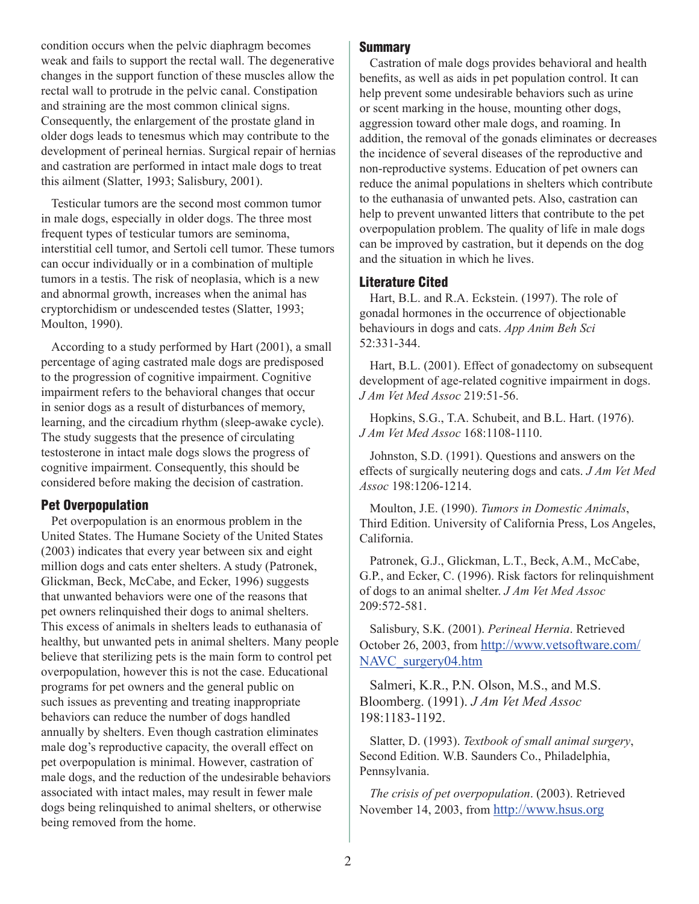condition occurs when the pelvic diaphragm becomes weak and fails to support the rectal wall. The degenerative changes in the support function of these muscles allow the rectal wall to protrude in the pelvic canal. Constipation and straining are the most common clinical signs. Consequently, the enlargement of the prostate gland in older dogs leads to tenesmus which may contribute to the development of perineal hernias. Surgical repair of hernias and castration are performed in intact male dogs to treat this ailment (Slatter, 1993; Salisbury, 2001).

Testicular tumors are the second most common tumor in male dogs, especially in older dogs. The three most frequent types of testicular tumors are seminoma, interstitial cell tumor, and Sertoli cell tumor. These tumors can occur individually or in a combination of multiple tumors in a testis. The risk of neoplasia, which is a new and abnormal growth, increases when the animal has cryptorchidism or undescended testes (Slatter, 1993; Moulton, 1990).

According to a study performed by Hart (2001), a small percentage of aging castrated male dogs are predisposed to the progression of cognitive impairment. Cognitive impairment refers to the behavioral changes that occur in senior dogs as a result of disturbances of memory, learning, and the circadium rhythm (sleep-awake cycle). The study suggests that the presence of circulating testosterone in intact male dogs slows the progress of cognitive impairment. Consequently, this should be considered before making the decision of castration.

### Pet Overpopulation

Pet overpopulation is an enormous problem in the United States. The Humane Society of the United States (2003) indicates that every year between six and eight million dogs and cats enter shelters. A study (Patronek, Glickman, Beck, McCabe, and Ecker, 1996) suggests that unwanted behaviors were one of the reasons that pet owners relinquished their dogs to animal shelters. This excess of animals in shelters leads to euthanasia of healthy, but unwanted pets in animal shelters. Many people believe that sterilizing pets is the main form to control pet overpopulation, however this is not the case. Educational programs for pet owners and the general public on such issues as preventing and treating inappropriate behaviors can reduce the number of dogs handled annually by shelters. Even though castration eliminates male dog's reproductive capacity, the overall effect on pet overpopulation is minimal. However, castration of male dogs, and the reduction of the undesirable behaviors associated with intact males, may result in fewer male dogs being relinquished to animal shelters, or otherwise being removed from the home.

#### **Summary**

Castration of male dogs provides behavioral and health benefits, as well as aids in pet population control. It can help prevent some undesirable behaviors such as urine or scent marking in the house, mounting other dogs, aggression toward other male dogs, and roaming. In addition, the removal of the gonads eliminates or decreases the incidence of several diseases of the reproductive and non-reproductive systems. Education of pet owners can reduce the animal populations in shelters which contribute to the euthanasia of unwanted pets. Also, castration can help to prevent unwanted litters that contribute to the pet overpopulation problem. The quality of life in male dogs can be improved by castration, but it depends on the dog and the situation in which he lives.

## Literature Cited

Hart, B.L. and R.A. Eckstein. (1997). The role of gonadal hormones in the occurrence of objectionable behaviours in dogs and cats. *App Anim Beh Sci*  52:331-344.

Hart, B.L. (2001). Effect of gonadectomy on subsequent development of age-related cognitive impairment in dogs. *J Am Vet Med Assoc* 219:51-56.

Hopkins, S.G., T.A. Schubeit, and B.L. Hart. (1976). *J Am Vet Med Assoc* 168:1108-1110.

Johnston, S.D. (1991). Questions and answers on the effects of surgically neutering dogs and cats. *J Am Vet Med Assoc* 198:1206-1214.

Moulton, J.E. (1990). *Tumors in Domestic Animals*, Third Edition. University of California Press, Los Angeles, California.

Patronek, G.J., Glickman, L.T., Beck, A.M., McCabe, G.P., and Ecker, C. (1996). Risk factors for relinquishment of dogs to an animal shelter. *J Am Vet Med Assoc* 209:572-581.

Salisbury, S.K. (2001). *Perineal Hernia*. Retrieved October 26, 2003, fro[m http://www.vetsoftware.com/](http://www.vetsoftware.com/NAVC_surgery04.htm) [NAVC\\_surgery04.htm](http://www.vetsoftware.com/NAVC_surgery04.htm)

Salmeri, K.R., P.N. Olson, M.S., and M.S. Bloomberg. (1991). *J Am Vet Med Assoc* 198:1183-1192.

Slatter, D. (1993). *Textbook of small animal surgery*, Second Edition. W.B. Saunders Co., Philadelphia, Pennsylvania.

*The crisis of pet overpopulation*. (2003). Retrieved November 14, 2003, fro[m http://www.hsus.org](http://www.hsus.org)